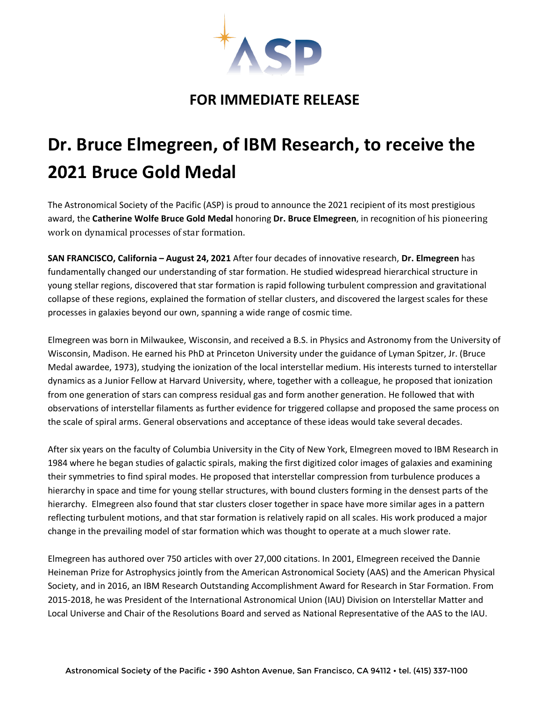

## **FOR IMMEDIATE RELEASE**

## **Dr. Bruce Elmegreen, of IBM Research, to receive the 2021 Bruce Gold Medal**

The Astronomical Society of the Pacific (ASP) is proud to announce the 2021 recipient of its most prestigious award, the **Catherine Wolfe Bruce Gold Medal** honoring **Dr. Bruce Elmegreen**, in recognition of his pioneering work on dynamical processes of star formation.

**SAN FRANCISCO, California – August 24, 2021** After four decades of innovative research, **Dr. Elmegreen** has fundamentally changed our understanding of star formation. He studied widespread hierarchical structure in young stellar regions, discovered that star formation is rapid following turbulent compression and gravitational collapse of these regions, explained the formation of stellar clusters, and discovered the largest scales for these processes in galaxies beyond our own, spanning a wide range of cosmic time.

Elmegreen was born in Milwaukee, Wisconsin, and received a B.S. in Physics and Astronomy from the University of Wisconsin, Madison. He earned his PhD at Princeton University under the guidance of Lyman Spitzer, Jr. (Bruce Medal awardee, 1973), studying the ionization of the local interstellar medium. His interests turned to interstellar dynamics as a Junior Fellow at Harvard University, where, together with a colleague, he proposed that ionization from one generation of stars can compress residual gas and form another generation. He followed that with observations of interstellar filaments as further evidence for triggered collapse and proposed the same process on the scale of spiral arms. General observations and acceptance of these ideas would take several decades.

After six years on the faculty of Columbia University in the City of New York, Elmegreen moved to IBM Research in 1984 where he began studies of galactic spirals, making the first digitized color images of galaxies and examining their symmetries to find spiral modes. He proposed that interstellar compression from turbulence produces a hierarchy in space and time for young stellar structures, with bound clusters forming in the densest parts of the hierarchy. Elmegreen also found that star clusters closer together in space have more similar ages in a pattern reflecting turbulent motions, and that star formation is relatively rapid on all scales. His work produced a major change in the prevailing model of star formation which was thought to operate at a much slower rate.

Elmegreen has authored over 750 articles with over 27,000 citations. In 2001, Elmegreen received the Dannie Heineman Prize for Astrophysics jointly from the American Astronomical Society (AAS) and the American Physical Society, and in 2016, an IBM Research Outstanding Accomplishment Award for Research in Star Formation. From 2015-2018, he was President of the International Astronomical Union (IAU) Division on Interstellar Matter and Local Universe and Chair of the Resolutions Board and served as National Representative of the AAS to the IAU.